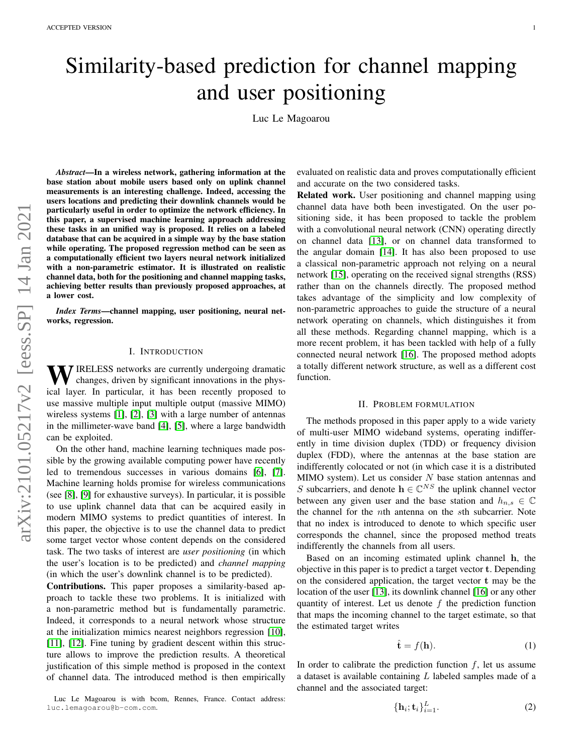# Similarity-based prediction for channel mapping and user positioning

Luc Le Magoarou

*Abstract*—In a wireless network, gathering information at the base station about mobile users based only on uplink channel measurements is an interesting challenge. Indeed, accessing the users locations and predicting their downlink channels would be particularly useful in order to optimize the network efficiency. In this paper, a supervised machine learning approach addressing these tasks in an unified way is proposed. It relies on a labeled database that can be acquired in a simple way by the base station while operating. The proposed regression method can be seen as a computationally efficient two layers neural network initialized with a non-parametric estimator. It is illustrated on realistic channel data, both for the positioning and channel mapping tasks, achieving better results than previously proposed approaches, at a lower cost.

*Index Terms*—channel mapping, user positioning, neural networks, regression.

# I. INTRODUCTION

WIRELESS networks are currently undergoing dramatic changes, driven by significant innovations in the physical layer. In particular, it has been recently proposed to use massive multiple input multiple output (massive MIMO) wireless systems [\[1\]](#page-4-0), [\[2\]](#page-4-1), [\[3\]](#page-4-2) with a large number of antennas in the millimeter-wave band [\[4\]](#page-4-3), [\[5\]](#page-4-4), where a large bandwidth can be exploited.

On the other hand, machine learning techniques made possible by the growing available computing power have recently led to tremendous successes in various domains [\[6\]](#page-4-5), [\[7\]](#page-4-6). Machine learning holds promise for wireless communications (see [\[8\]](#page-4-7), [\[9\]](#page-4-8) for exhaustive surveys). In particular, it is possible to use uplink channel data that can be acquired easily in modern MIMO systems to predict quantities of interest. In this paper, the objective is to use the channel data to predict some target vector whose content depends on the considered task. The two tasks of interest are *user positioning* (in which the user's location is to be predicted) and *channel mapping* (in which the user's downlink channel is to be predicted).

Contributions. This paper proposes a similarity-based approach to tackle these two problems. It is initialized with a non-parametric method but is fundamentally parametric. Indeed, it corresponds to a neural network whose structure at the initialization mimics nearest neighbors regression [\[10\]](#page-4-9), [\[11\]](#page-4-10), [\[12\]](#page-4-11). Fine tuning by gradient descent within this structure allows to improve the prediction results. A theoretical justification of this simple method is proposed in the context of channel data. The introduced method is then empirically

Luc Le Magoarou is with bcom, Rennes, France. Contact address: luc.lemagoarou@b-com.com.

evaluated on realistic data and proves computationally efficient and accurate on the two considered tasks.

Related work. User positioning and channel mapping using channel data have both been investigated. On the user positioning side, it has been proposed to tackle the problem with a convolutional neural network (CNN) operating directly on channel data [\[13\]](#page-4-12), or on channel data transformed to the angular domain [\[14\]](#page-4-13). It has also been proposed to use a classical non-parametric approach not relying on a neural network [\[15\]](#page-4-14), operating on the received signal strengths (RSS) rather than on the channels directly. The proposed method takes advantage of the simplicity and low complexity of non-parametric approaches to guide the structure of a neural network operating on channels, which distinguishes it from all these methods. Regarding channel mapping, which is a more recent problem, it has been tackled with help of a fully connected neural network [\[16\]](#page-4-15). The proposed method adopts a totally different network structure, as well as a different cost function.

#### II. PROBLEM FORMULATION

The methods proposed in this paper apply to a wide variety of multi-user MIMO wideband systems, operating indifferently in time division duplex (TDD) or frequency division duplex (FDD), where the antennas at the base station are indifferently colocated or not (in which case it is a distributed MIMO system). Let us consider  $N$  base station antennas and S subcarriers, and denote  $\mathbf{h} \in \mathbb{C}^{NS}$  the uplink channel vector between any given user and the base station and  $h_{n,s} \in \mathbb{C}$ the channel for the nth antenna on the sth subcarrier. Note that no index is introduced to denote to which specific user corresponds the channel, since the proposed method treats indifferently the channels from all users.

Based on an incoming estimated uplink channel h, the objective in this paper is to predict a target vector t. Depending on the considered application, the target vector t may be the location of the user [\[13\]](#page-4-12), its downlink channel [\[16\]](#page-4-15) or any other quantity of interest. Let us denote  $f$  the prediction function that maps the incoming channel to the target estimate, so that the estimated target writes

$$
\hat{\mathbf{t}} = f(\mathbf{h}).\tag{1}
$$

In order to calibrate the prediction function  $f$ , let us assume a dataset is available containing  $L$  labeled samples made of a channel and the associated target:

 $\{$ 

$$
\mathbf{h}_i; \mathbf{t}_i \}_{i=1}^L.
$$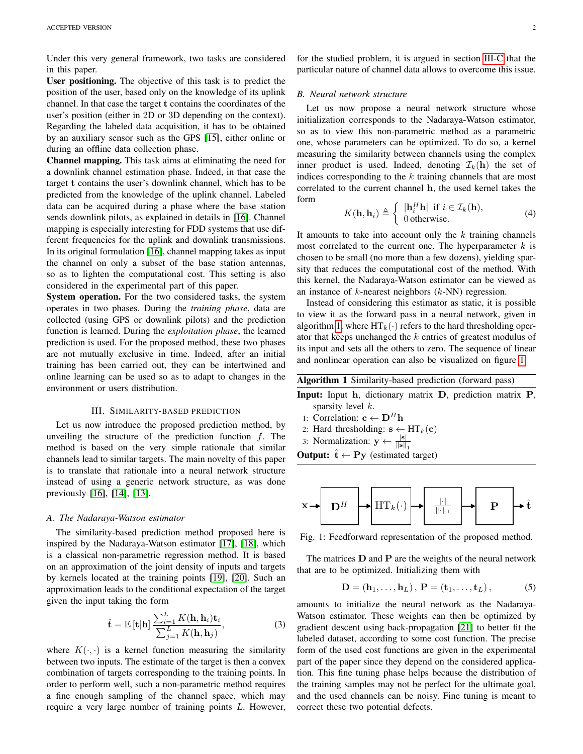Under this very general framework, two tasks are considered in this paper.

User positioning. The objective of this task is to predict the position of the user, based only on the knowledge of its uplink channel. In that case the target t contains the coordinates of the user's position (either in 2D or 3D depending on the context). Regarding the labeled data acquisition, it has to be obtained by an auxiliary sensor such as the GPS [\[15\]](#page-4-14), either online or during an offline data collection phase.

Channel mapping. This task aims at eliminating the need for a downlink channel estimation phase. Indeed, in that case the target t contains the user's downlink channel, which has to be predicted from the knowledge of the uplink channel. Labeled data can be acquired during a phase where the base station sends downlink pilots, as explained in details in [\[16\]](#page-4-15). Channel mapping is especially interesting for FDD systems that use different frequencies for the uplink and downlink transmissions. In its original formulation [\[16\]](#page-4-15), channel mapping takes as input the channel on only a subset of the base station antennas, so as to lighten the computational cost. This setting is also considered in the experimental part of this paper.

System operation. For the two considered tasks, the system operates in two phases. During the *training phase*, data are collected (using GPS or downlink pilots) and the prediction function is learned. During the *exploitation phase*, the learned prediction is used. For the proposed method, these two phases are not mutually exclusive in time. Indeed, after an initial training has been carried out, they can be intertwined and online learning can be used so as to adapt to changes in the environment or users distribution.

# III. SIMILARITY-BASED PREDICTION

Let us now introduce the proposed prediction method, by unveiling the structure of the prediction function  $f$ . The method is based on the very simple rationale that similar channels lead to similar targets. The main novelty of this paper is to translate that rationale into a neural network structure instead of using a generic network structure, as was done previously [\[16\]](#page-4-15), [\[14\]](#page-4-13), [\[13\]](#page-4-12).

# *A. The Nadaraya-Watson estimator*

The similarity-based prediction method proposed here is inspired by the Nadaraya-Watson estimator [\[17\]](#page-4-16), [\[18\]](#page-4-17), which is a classical non-parametric regression method. It is based on an approximation of the joint density of inputs and targets by kernels located at the training points [\[19\]](#page-4-18), [\[20\]](#page-4-19). Such an approximation leads to the conditional expectation of the target given the input taking the form

$$
\hat{\mathbf{t}} = \mathbb{E} \left[ \mathbf{t} | \mathbf{h} \right] \frac{\sum_{i=1}^{L} K(\mathbf{h}, \mathbf{h}_i) \mathbf{t}_i}{\sum_{j=1}^{L} K(\mathbf{h}, \mathbf{h}_j)},
$$
(3)

where  $K(\cdot, \cdot)$  is a kernel function measuring the similarity between two inputs. The estimate of the target is then a convex combination of targets corresponding to the training points. In order to perform well, such a non-parametric method requires a fine enough sampling of the channel space, which may require a very large number of training points L. However,

for the studied problem, it is argued in section [III-C](#page-2-0) that the particular nature of channel data allows to overcome this issue.

### *B. Neural network structure*

Let us now propose a neural network structure whose initialization corresponds to the Nadaraya-Watson estimator, so as to view this non-parametric method as a parametric one, whose parameters can be optimized. To do so, a kernel measuring the similarity between channels using the complex inner product is used. Indeed, denoting  $\mathcal{I}_k(\mathbf{h})$  the set of indices corresponding to the  $k$  training channels that are most correlated to the current channel h, the used kernel takes the form

$$
K(\mathbf{h}, \mathbf{h}_i) \triangleq \begin{cases} |\mathbf{h}_i^H \mathbf{h}| & \text{if } i \in \mathcal{I}_k(\mathbf{h}), \\ 0 & \text{otherwise.} \end{cases}
$$
(4)

It amounts to take into account only the  $k$  training channels most correlated to the current one. The hyperparameter  $k$  is chosen to be small (no more than a few dozens), yielding sparsity that reduces the computational cost of the method. With this kernel, the Nadaraya-Watson estimator can be viewed as an instance of  $k$ -nearest neighbors  $(k-NN)$  regression.

Instead of considering this estimator as static, it is possible to view it as the forward pass in a neural network, given in algorithm [1,](#page-1-0) where  $HT_k(\cdot)$  refers to the hard thresholding operator that keeps unchanged the k entries of greatest modulus of its input and sets all the others to zero. The sequence of linear and nonlinear operation can also be visualized on figure [1.](#page-1-1)

Algorithm 1 Similarity-based prediction (forward pass)

- Input: Input h, dictionary matrix D, prediction matrix P, sparsity level  $k$ .
- <span id="page-1-0"></span>1: Correlation:  $c \leftarrow D^H h$
- 2: Hard thresholding:  $\mathbf{s} \leftarrow HT_k(\mathbf{c})$
- 3: Normalization:  $y \leftarrow \frac{|\mathbf{s}|}{\|\mathbf{s}\|_1}$
- **Output:**  $\hat{\mathbf{t}} \leftarrow \mathbf{P} \mathbf{v}$  (estimated target)

<span id="page-1-1"></span>

Fig. 1: Feedforward representation of the proposed method.

The matrices  $D$  and  $P$  are the weights of the neural network that are to be optimized. Initializing them with

$$
\mathbf{D} = (\mathbf{h}_1, \dots, \mathbf{h}_L), \, \mathbf{P} = (\mathbf{t}_1, \dots, \mathbf{t}_L), \tag{5}
$$

amounts to initialize the neural network as the Nadaraya-Watson estimator. These weights can then be optimized by gradient descent using back-propagation [\[21\]](#page-4-20) to better fit the labeled dataset, according to some cost function. The precise form of the used cost functions are given in the experimental part of the paper since they depend on the considered application. This fine tuning phase helps because the distribution of the training samples may not be perfect for the ultimate goal, and the used channels can be noisy. Fine tuning is meant to correct these two potential defects.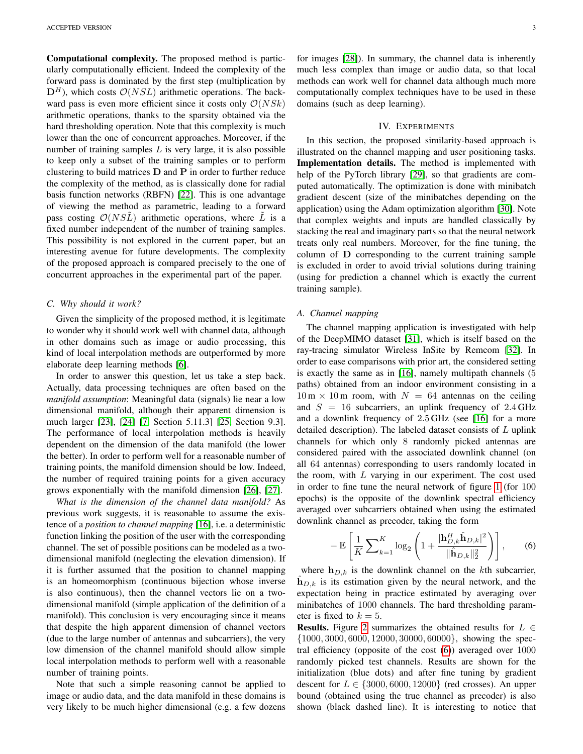Computational complexity. The proposed method is particularly computationally efficient. Indeed the complexity of the forward pass is dominated by the first step (multiplication by  $\mathbf{D}^H$ ), which costs  $\mathcal{O}(NSL)$  arithmetic operations. The backward pass is even more efficient since it costs only  $O(NSk)$ arithmetic operations, thanks to the sparsity obtained via the hard thresholding operation. Note that this complexity is much lower than the one of concurrent approaches. Moreover, if the number of training samples  $L$  is very large, it is also possible to keep only a subset of the training samples or to perform clustering to build matrices  $D$  and  $P$  in order to further reduce the complexity of the method, as is classically done for radial basis function networks (RBFN) [\[22\]](#page-4-21). This is one advantage of viewing the method as parametric, leading to a forward pass costing  $O(NSL)$  arithmetic operations, where L is a fixed number independent of the number of training samples. This possibility is not explored in the current paper, but an interesting avenue for future developments. The complexity of the proposed approach is compared precisely to the one of concurrent approaches in the experimental part of the paper.

# <span id="page-2-0"></span>*C. Why should it work?*

Given the simplicity of the proposed method, it is legitimate to wonder why it should work well with channel data, although in other domains such as image or audio processing, this kind of local interpolation methods are outperformed by more elaborate deep learning methods [\[6\]](#page-4-5).

In order to answer this question, let us take a step back. Actually, data processing techniques are often based on the *manifold assumption*: Meaningful data (signals) lie near a low dimensional manifold, although their apparent dimension is much larger [\[23\]](#page-4-22), [\[24\]](#page-4-23) [\[7,](#page-4-6) Section 5.11.3] [\[25,](#page-4-24) Section 9.3]. The performance of local interpolation methods is heavily dependent on the dimension of the data manifold (the lower the better). In order to perform well for a reasonable number of training points, the manifold dimension should be low. Indeed, the number of required training points for a given accuracy grows exponentially with the manifold dimension [\[26\]](#page-4-25), [\[27\]](#page-4-26).

*What is the dimension of the channel data manifold?* As previous work suggests, it is reasonable to assume the existence of a *position to channel mapping* [\[16\]](#page-4-15), i.e. a deterministic function linking the position of the user with the corresponding channel. The set of possible positions can be modeled as a twodimensional manifold (neglecting the elevation dimension). If it is further assumed that the position to channel mapping is an homeomorphism (continuous bijection whose inverse is also continuous), then the channel vectors lie on a twodimensional manifold (simple application of the definition of a manifold). This conclusion is very encouraging since it means that despite the high apparent dimension of channel vectors (due to the large number of antennas and subcarriers), the very low dimension of the channel manifold should allow simple local interpolation methods to perform well with a reasonable number of training points.

Note that such a simple reasoning cannot be applied to image or audio data, and the data manifold in these domains is very likely to be much higher dimensional (e.g. a few dozens for images [\[28\]](#page-4-27)). In summary, the channel data is inherently much less complex than image or audio data, so that local methods can work well for channel data although much more computationally complex techniques have to be used in these domains (such as deep learning).

# IV. EXPERIMENTS

In this section, the proposed similarity-based approach is illustrated on the channel mapping and user positioning tasks. Implementation details. The method is implemented with help of the PyTorch library [\[29\]](#page-4-28), so that gradients are computed automatically. The optimization is done with minibatch gradient descent (size of the minibatches depending on the application) using the Adam optimization algorithm [\[30\]](#page-4-29). Note that complex weights and inputs are handled classically by stacking the real and imaginary parts so that the neural network treats only real numbers. Moreover, for the fine tuning, the column of D corresponding to the current training sample is excluded in order to avoid trivial solutions during training (using for prediction a channel which is exactly the current training sample).

#### *A. Channel mapping*

The channel mapping application is investigated with help of the DeepMIMO dataset [\[31\]](#page-4-30), which is itself based on the ray-tracing simulator Wireless InSite by Remcom [\[32\]](#page-4-31). In order to ease comparisons with prior art, the considered setting is exactly the same as in [\[16\]](#page-4-15), namely multipath channels (5 paths) obtained from an indoor environment consisting in a  $10 \text{ m} \times 10 \text{ m}$  room, with  $N = 64$  antennas on the ceiling and  $S = 16$  subcarriers, an uplink frequency of 2.4 GHz and a downlink frequency of 2.5 GHz (see [\[16\]](#page-4-15) for a more detailed description). The labeled dataset consists of  $L$  uplink channels for which only 8 randomly picked antennas are considered paired with the associated downlink channel (on all 64 antennas) corresponding to users randomly located in the room, with  $L$  varying in our experiment. The cost used in order to fine tune the neural network of figure [1](#page-1-1) (for 100 epochs) is the opposite of the downlink spectral efficiency averaged over subcarriers obtained when using the estimated downlink channel as precoder, taking the form

<span id="page-2-1"></span>
$$
-\mathbb{E}\left[\frac{1}{K}\sum_{k=1}^{K}\log_{2}\left(1+\frac{|\mathbf{h}_{D,k}^{H}\hat{\mathbf{h}}_{D,k}|^{2}}{\|\hat{\mathbf{h}}_{D,k}\|_{2}^{2}}\right)\right],\qquad(6)
$$

where  $h_{D,k}$  is the downlink channel on the kth subcarrier,  $h_{D,k}$  is its estimation given by the neural network, and the expectation being in practice estimated by averaging over minibatches of 1000 channels. The hard thresholding parameter is fixed to  $k = 5$ .

**Results.** Figure [2](#page-3-0) summarizes the obtained results for  $L \in$ {1000, 3000, 6000, 12000, 30000, 60000}, showing the spectral efficiency (opposite of the cost [\(6\)](#page-2-1)) averaged over 1000 randomly picked test channels. Results are shown for the initialization (blue dots) and after fine tuning by gradient descent for  $L \in \{3000, 6000, 12000\}$  (red crosses). An upper bound (obtained using the true channel as precoder) is also shown (black dashed line). It is interesting to notice that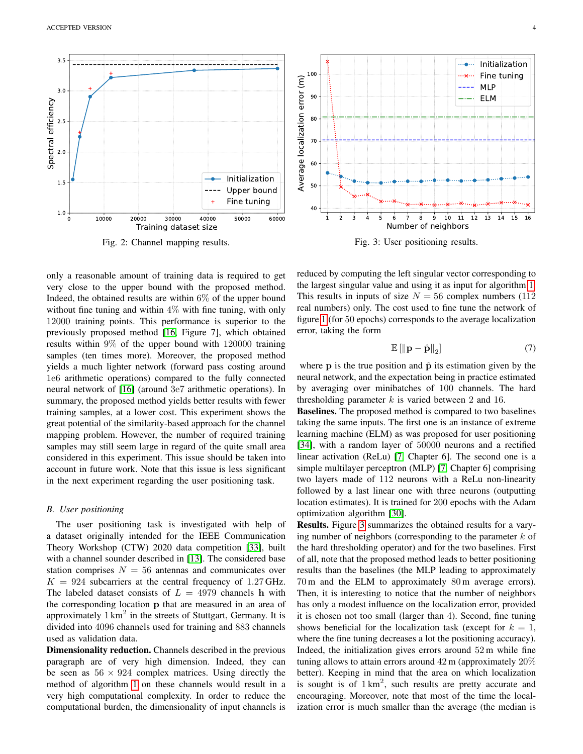<span id="page-3-0"></span>

Fig. 2: Channel mapping results.

only a reasonable amount of training data is required to get very close to the upper bound with the proposed method. Indeed, the obtained results are within 6% of the upper bound without fine tuning and within  $4\%$  with fine tuning, with only 12000 training points. This performance is superior to the previously proposed method [\[16,](#page-4-15) Figure 7], which obtained results within 9% of the upper bound with 120000 training samples (ten times more). Moreover, the proposed method yields a much lighter network (forward pass costing around 1e6 arithmetic operations) compared to the fully connected neural network of [\[16\]](#page-4-15) (around 3e7 arithmetic operations). In summary, the proposed method yields better results with fewer training samples, at a lower cost. This experiment shows the great potential of the similarity-based approach for the channel mapping problem. However, the number of required training samples may still seem large in regard of the quite small area considered in this experiment. This issue should be taken into account in future work. Note that this issue is less significant in the next experiment regarding the user positioning task.

### *B. User positioning*

The user positioning task is investigated with help of a dataset originally intended for the IEEE Communication Theory Workshop (CTW) 2020 data competition [\[33\]](#page-4-32), built with a channel sounder described in [\[13\]](#page-4-12). The considered base station comprises  $N = 56$  antennas and communicates over  $K = 924$  subcarriers at the central frequency of 1.27 GHz. The labeled dataset consists of  $L = 4979$  channels h with the corresponding location p that are measured in an area of approximately  $1 \text{ km}^2$  in the streets of Stuttgart, Germany. It is divided into 4096 channels used for training and 883 channels used as validation data.

Dimensionality reduction. Channels described in the previous paragraph are of very high dimension. Indeed, they can be seen as  $56 \times 924$  complex matrices. Using directly the method of algorithm [1](#page-1-0) on these channels would result in a very high computational complexity. In order to reduce the computational burden, the dimensionality of input channels is

<span id="page-3-1"></span>

Fig. 3: User positioning results.

reduced by computing the left singular vector corresponding to the largest singular value and using it as input for algorithm [1.](#page-1-0) This results in inputs of size  $N = 56$  complex numbers (112) real numbers) only. The cost used to fine tune the network of figure [1](#page-1-1) (for 50 epochs) corresponds to the average localization error, taking the form

$$
\mathbb{E}\left[\left\Vert \mathbf{p} - \hat{\mathbf{p}}\right\Vert_2\right] \tag{7}
$$

where p is the true position and  $\hat{p}$  its estimation given by the neural network, and the expectation being in practice estimated by averaging over minibatches of 100 channels. The hard thresholding parameter  $k$  is varied between 2 and 16.

Baselines. The proposed method is compared to two baselines taking the same inputs. The first one is an instance of extreme learning machine (ELM) as was proposed for user positioning [\[34\]](#page-4-33), with a random layer of 50000 neurons and a rectified linear activation (ReLu) [\[7,](#page-4-6) Chapter 6]. The second one is a simple multilayer perceptron (MLP) [\[7,](#page-4-6) Chapter 6] comprising two layers made of 112 neurons with a ReLu non-linearity followed by a last linear one with three neurons (outputting location estimates). It is trained for 200 epochs with the Adam optimization algorithm [\[30\]](#page-4-29).

Results. Figure [3](#page-3-1) summarizes the obtained results for a varying number of neighbors (corresponding to the parameter  $k$  of the hard thresholding operator) and for the two baselines. First of all, note that the proposed method leads to better positioning results than the baselines (the MLP leading to approximately 70 m and the ELM to approximately 80 m average errors). Then, it is interesting to notice that the number of neighbors has only a modest influence on the localization error, provided it is chosen not too small (larger than 4). Second, fine tuning shows beneficial for the localization task (except for  $k = 1$ , where the fine tuning decreases a lot the positioning accuracy). Indeed, the initialization gives errors around 52 m while fine tuning allows to attain errors around 42 m (approximately 20% better). Keeping in mind that the area on which localization is sought is of  $1 \text{ km}^2$ , such results are pretty accurate and encouraging. Moreover, note that most of the time the localization error is much smaller than the average (the median is